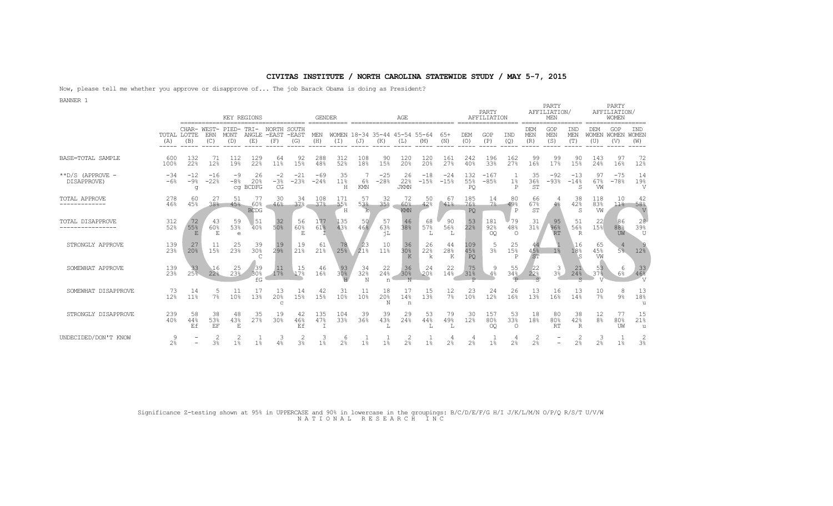Now, please tell me whether you approve or disapprove of... The job Barack Obama is doing as President?

BANNER 1

|                                     |                | KEY REGIONS<br><b>GENDER</b><br>AGE |                 |                          |                            |                              |                          |                        |                     |                 |                                |                                |                        |                 |                         | PARTY<br>AFFILIATION  |                             |                        | PARTY<br>AFFILIATION/<br>MEN |                           |                       | PARTY<br>AFFILIATION/<br>WOMEN |                                   |
|-------------------------------------|----------------|-------------------------------------|-----------------|--------------------------|----------------------------|------------------------------|--------------------------|------------------------|---------------------|-----------------|--------------------------------|--------------------------------|------------------------|-----------------|-------------------------|-----------------------|-----------------------------|------------------------|------------------------------|---------------------------|-----------------------|--------------------------------|-----------------------------------|
|                                     | (A)            | CHAR- WEST-<br>TOTAL LOTTE<br>(B)   | ERN<br>(C)      | PIED-<br>MONT<br>(D)     | TRT-<br>ANGLE<br>(E)       | <b>NORTH</b><br>-EAST<br>(F) | SOUTH<br>$-$ EAST<br>(G) | MEN<br>(H)             | WOMEN<br>(I)        | (J)             | 18-34 35-44 45-54 55-64<br>(K) | (L)                            | (M)                    | $65+$<br>(N)    | DEM<br>(0)              | GOP<br>(P)            | IND<br>(Q)                  | DEM<br>MEN<br>(R)      | GOP<br>MEN<br>(S)            | IND<br>MEN<br>(T)         | <b>DEM</b><br>(U)     | GOP<br>WOMEN WOMEN<br>(V)      | <b>IND</b><br><b>WOMEN</b><br>(W) |
| BASE=TOTAL SAMPLE                   | 600<br>100%    | 132<br>22%                          | 71<br>12%       | 112<br>19%               | 129<br>22%                 | 64<br>11%                    | 92<br>15%                | 288<br>48%             | 312<br>52%          | 108<br>18%      | 90<br>15%                      | 120<br>20 <sup>°</sup>         | 120<br>20 <sup>°</sup> | 161<br>27%      | 242<br>40%              | 196<br>33%            | 162<br>27%                  | 99<br>16%              | 99<br>17%                    | 90<br>15%                 | 143<br>24%            | 97<br>16%                      | 72<br>12%                         |
| $*$ $D/S$ (APPROVE -<br>DISAPPROVE) | $-34$<br>$-6%$ | $-12$<br>$-9%$<br>q                 | $-16$<br>$-22%$ | $-9$<br>$-8%$            | 26<br>20%<br>cq BCDFG      | $-2$<br>$-3%$<br>CG          | $-21$<br>$-23%$          | $-69$<br>$-24%$        | 35<br>11%<br>H      | $6\%$<br>KMN    | $-25$<br>$-28%$                | 26<br>22%<br><b>JKMN</b>       | $-18$<br>$-15%$        | $-24$<br>$-15%$ | 132<br>55%<br><b>PQ</b> | $-167$<br>$-85%$      | $1\%$<br>P                  | 35<br>36%<br>ST        | $-92$<br>$-93%$              | $-13$<br>$-14%$<br>S      | 97<br>67%<br>VW       | $-75$<br>$-78%$                | 14<br>19%<br>$\overline{V}$       |
| TOTAL APPROVE                       | 278<br>46%     | -60<br>45%                          | 27<br>38%       | 51<br>45%                | 77<br>60%<br><b>BCDG</b>   | 30<br>46%                    | -34<br>$37\%$            | 108<br>37 <sup>°</sup> | 171<br>55%<br>Н     | 57<br>53%<br>k. | 32<br>35%                      | 72<br>60%<br>KMN               | 50<br>42%              | -67<br>41%      | 185<br>76%<br>PO        | 14<br>$7\%$           | 80<br>49%<br>$\mathsf{P}$   | 66<br>67%<br><b>ST</b> | 4 <sup>°</sup>               | 38<br>42%<br><sub>S</sub> | 118<br>83%<br>VW      | 10<br>11 <sup>°</sup>          | 42<br>58%<br>V                    |
| TOTAL DISAPPROVE<br>--------------- | 312<br>52%     | 72<br>55%<br>E                      | 43<br>60%<br>E  | -59<br>53%<br>$\epsilon$ | 51<br>40%                  | $32$<br>50%                  | 56<br>60%<br>E           | 177<br>61%             | 135<br>43%          | 50<br>46%       | 57<br>63%<br>ήL                | 46<br>38%                      | 68<br>57%<br>L         | 90<br>56%<br>L  | 53<br>22%               | 181<br>92%<br>OQ      | 79<br>48%<br>$\circ$        | -31<br>31%             | 95<br>96%<br><b>RT</b>       | 51<br>56%<br>$\mathbb{R}$ | 22<br>15%             | 86<br>88%<br>UW                | 28<br>39%<br>U                    |
| STRONGLY APPROVE                    | 139<br>23%     | $27$<br>$20%$                       | 11<br>15%       | 25<br>23%                | 39<br>30%<br>$\mathcal{C}$ | $19$<br>$29$ <sup>8</sup>    | 19<br>21%                | 61<br>21%              | 78<br>25%           | $2^{23}_{21}$   | 10<br>11 <sup>°</sup>          | $36$<br>$30$ <sup>8</sup><br>K | 26<br>22%<br>k         | 44<br>28%<br>K  | 109<br>45%<br>PO        | 5<br>3 <sup>°</sup>   | 25<br>15%<br>P              | 45%<br><b>ST</b>       | 1 <sub>8</sub>               | 16<br>18%<br>.S           | 65<br>45%<br>VW       | 5%                             | 12%                               |
| SOMEWHAT APPROVE                    | 139<br>23%     | 33<br>25%                           | 16<br>22%       | 25<br>23%                | 39<br>30%<br>fG            | 11<br>17%                    | 15<br>17%                | 46<br>16%              | 30%                 | 34<br>32%<br>N  | 22<br>24%<br>n                 | 36<br>30%                      | 24<br>20%              | 22<br>14%       | 75<br>31%               | 4%                    | 55<br>34%<br>$\overline{D}$ | 22<br>22%              | 3 <sup>3</sup>               | 21<br>24%                 | 53<br>37 <sup>8</sup> | -6<br>6%                       | $33$<br>46%                       |
| SOMEWHAT DISAPPROVE                 | 73<br>12%      | 14<br>11%                           | 5<br>7%         | 10%                      | 17<br>13%                  | 13<br>20%<br>$\mathsf{C}$    | 14<br>15%                | 42<br>15%              | 31<br>10%           | 11<br>10%       | 18<br>20%<br>N                 | 17<br>14%<br>n                 | 15<br>13%              | $\frac{12}{78}$ | 23<br>10%               | 24<br>12%             | 26<br>16%                   | 13<br>13%              | 16<br>16%                    | 13<br>14%                 | 10<br>7%              | 8<br>$9\%$                     | $13\n18$                          |
| STRONGLY DISAPPROVE                 | 239<br>40%     | 58<br>44%<br>Ef                     | 38<br>53%<br>EF | 48<br>43%<br>E.          | 35<br>27%                  | 19<br>30%                    | 42<br>46%<br>Ef          | 135<br>47%             | 104<br>33%          | 39<br>36%       | 39<br>43%                      | 29<br>24%                      | 53<br>44%              | 79<br>49%       | 30<br>12%               | 157<br>80%<br>$\circ$ | 53<br>33%<br>$\Omega$       | 18<br>18%              | 80<br>80%<br>RT              | 38<br>42%<br>$\mathbb{R}$ | 12<br>8 <sup>°</sup>  | 77<br>80%<br>UW                | $15$<br>$21%$<br>u                |
| UNDECIDED/DON'T KNOW                | 2 <sup>°</sup> |                                     | 2<br>3%         | 2<br>1 <sup>°</sup>      | 1%                         | 3<br>4%                      | 2<br>3 <sup>°</sup>      | 1%                     | 6<br>2 <sup>°</sup> | 1 <sup>°</sup>  | $1\%$                          | -2<br>2 <sup>°</sup>           | $1\%$                  | 2 <sup>°</sup>  | 4<br>2 <sup>°</sup>     | 1 <sup>°</sup>        | 2 <sup>°</sup>              | 2<br>2 <sup>°</sup>    |                              | 2<br>2 <sup>°</sup>       | 3<br>2 <sup>°</sup>   | 1 <sup>°</sup>                 | 2<br>3%                           |

Significance Z-testing shown at 95% in UPPERCASE and 90% in lowercase in the groupings: B/C/D/E/F/G H/I J/K/L/M/N O/P/Q R/S/T U/V/W N A T I O N A L R E S E A R C H I N C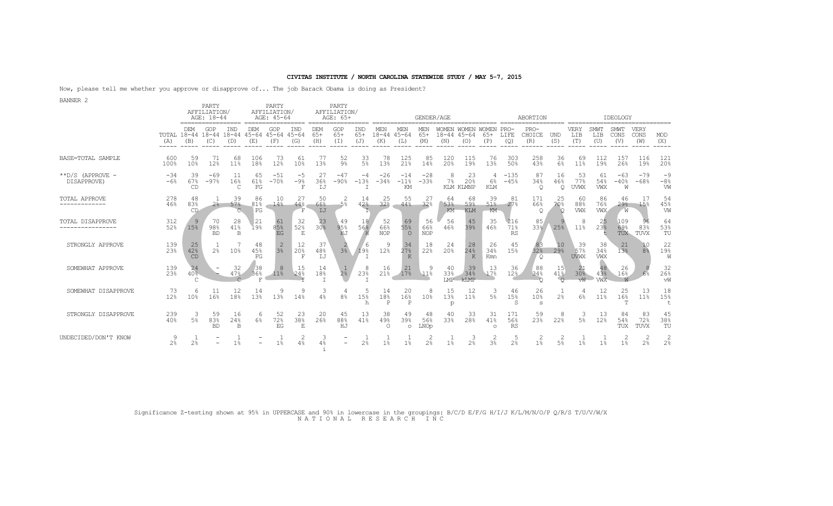Now, please tell me whether you approve or disapprove of... The job Barack Obama is doing as President?

| <b>BANNER 2</b>                       |                                |                        | PARTY<br>AFFILIATION/  |                       |                         | PARTY<br>AFFILIATION/   |                         |                       | PARTY<br>AFFILIATION/       |                     |                         |                         |                         |                           |                                    |                            |                         |                            |                         |                          |                         |                            |                       |                     |
|---------------------------------------|--------------------------------|------------------------|------------------------|-----------------------|-------------------------|-------------------------|-------------------------|-----------------------|-----------------------------|---------------------|-------------------------|-------------------------|-------------------------|---------------------------|------------------------------------|----------------------------|-------------------------|----------------------------|-------------------------|--------------------------|-------------------------|----------------------------|-----------------------|---------------------|
|                                       |                                |                        | AGE: 18-44             |                       |                         | AGE: 45-64              |                         |                       | AGE: 65+                    |                     |                         |                         | GENDER/AGE              |                           |                                    |                            |                         | ABORTION                   |                         |                          |                         | IDEOLOGY                   |                       |                     |
|                                       | TOTAL 18-44 18-44 18-44<br>(A) | DEM<br>(B)             | GOP<br>(C)             | IND<br>(D)            | DEM<br>$45 - 64$<br>(E) | GOP<br>$45 - 64$<br>(F) | IND<br>$45 - 64$<br>(G) | DEM<br>$65+$<br>(H)   | GOP<br>$65+$<br>(T)         | IND<br>$65+$<br>(J) | MEN<br>$18 - 44$<br>(K) | MEN<br>$45 - 64$<br>(L) | MEN<br>$65+$<br>(M)     | WOMEN<br>$18 - 44$<br>(N) | WOMEN<br>$45 - 64$<br>(O)          | WOMEN PRO-<br>$65+$<br>(P) | LIFE<br>(Q)             | $PRO-$<br>CHOICE<br>(R)    | <b>UND</b><br>(S)       | VERY<br>LIB<br>(T)       | SMWT<br>LIB<br>(U)      | SMWT<br>CONS<br>(V)        | VERY<br>CONS<br>(W)   | MOD<br>(X)<br>.     |
| BASE=TOTAL SAMPLE                     | 600<br>100%                    | 59<br>10%              | 71<br>12%              | 68<br>11 <sup>8</sup> | 106<br>18%              | 73<br>12%               | 61<br>10%               | 77<br>13%             | 52<br>$9\%$                 | 33<br>5%            | 78<br>13%               | 125<br>21%              | 85<br>14%               | 120<br>20 <sup>°</sup>    | 115<br>19%                         | 76<br>13%                  | 303<br>50%              | 258<br>43%                 | 36<br>$6\%$             | 69<br>11%                | 112<br>19%              | 157<br>26%                 | 116<br>19%            | 121<br>20%          |
| $*$ $D/S$ (APPROVE -<br>DISAPPROVE)   | $-34$<br>$-6%$                 | 39<br>67%<br><b>CD</b> | $-69$<br>$-97%$        | 16%<br>$\mathcal{C}$  | 65<br>61%<br>FG         | $-51$<br>$-70%$         | -5<br>$-9%$<br>F        | 27<br>36%<br>IJ       | $-47$<br>$-90%$             | -4<br>$-13%$        | $-26$<br>$-34%$         | $-14$<br>$-11%$<br>KM   | $-28$<br>$-33%$         | $7\%$                     | 23<br>20 <sup>8</sup><br>KLM KLMNP | 6%<br><b>KLM</b>           | $-135$<br>$-45%$        | 87<br>34%<br>Q             | 16<br>46%<br>$\circ$    | 53<br>77%<br><b>UVWX</b> | 61<br>54%<br>VWX        | $-63$<br>$-40%$<br>W       | $-79$<br>$-68%$       | $-9$<br>$-8%$<br>W  |
| <b>TOTAL APPROVE</b><br>------------- | 278<br>46%                     | 48<br>83%<br>CD        | 2 <sup>°</sup>         | 39<br>57%             | 86<br>81%<br>FG         | 10<br>14%               | 27<br>44%               | 50<br>66%<br>IJ       | $-5%$                       | 14<br>42%           | 25<br>32%               | 55<br>44%               | 27<br>32%               | 64<br>53%<br>KM           | 68<br>59%<br><b>KLM</b>            | 39<br>51%<br>KM            | -81<br>27%              | 171<br>66%<br>Q            | 25<br>70%<br>$\circ$    | 60<br>88%<br>VWX         | 86<br>76%<br><b>VWX</b> | 46<br>29 <sup>°</sup><br>W | 17<br>15%             | 54<br>45%<br>W      |
| TOTAL DISAPPROVE<br>----------------  | 312<br>52%                     | 9<br>15%               | 70<br>98%<br><b>BD</b> | 28<br>41%<br>B        | 21<br>19%               | 85%<br>EG               | -32<br>52%<br>E         | 23<br>30 <sup>8</sup> | 49<br>95%<br>HJ             | 18<br>56%<br>H      | 52<br>66%<br><b>NOP</b> | -69<br>55%<br>$\Omega$  | 56<br>66%<br><b>NOP</b> | 56<br>46%                 | 45<br>39%                          | 35<br>46%                  | 216<br>71%<br>RS        | 85<br>33%                  | 25%                     | 8<br>11%                 | 25<br>23%               | 109<br>69%<br>TUX          | 96<br>83%<br>TUVX     | 64<br>53%<br>TU     |
| STRONGLY APPROVE                      | 139<br>2.3%                    | 25<br>42%<br>CD        | 2.8                    | 10%                   | 48<br>45%<br>FG         | $3\frac{2}{3}$          | 12<br>20%<br>F          | 37<br>48%<br>IJ       | 3 <sup>°</sup>              | 6<br>19%            | 9<br>12%                | 34<br>27%<br>K          | 18<br>22%               | -24<br>20%                | -28<br>24%<br>K                    | 26<br>34%<br>Kmn           | 45<br>15%               | 32%<br>$\circ$             | 10<br>29%               | 39<br>57%<br><b>UVWX</b> | 38<br>34%<br>VWX        | 21<br>13%                  | 8 <sup>°</sup>        | 22<br>19%<br>W      |
| SOMEWHAT APPROVE                      | 139<br>23%                     | 24<br>$40\overline{8}$ |                        | 32<br>47%             | 38<br>36%<br>P          | 8<br>11%                | 15<br>24%               | 14<br>18%             | 2 <sup>°</sup>              | 8<br>23%            | 16<br>21%               | 21<br>17%               | 11%                     | 40<br>33%<br>T.MP         | 39<br>34%<br>kTMP                  | 13<br>17%                  | 36<br>12%               | 88<br>34%                  | 15<br>$41\%$<br>$\circ$ | 30%<br>vW                | 48<br>43%<br>VWX        | 26<br>16%                  | 6%                    | 32<br>26%<br>vW     |
| SOMEWHAT DISAPPROVE                   | 73<br>12%                      | 6<br>10 <sup>°</sup>   | 11<br>16%              | 12<br>18%             | 14<br>13%               | 9<br>13%                | 9<br>14%                | 3<br>4%               | 8 <sup>°</sup>              | 5<br>15%<br>h       | 14<br>18%<br>P          | 20<br>16%<br>P          | 8<br>10%                | 15<br>13%<br>p            | 12<br>11%                          | 3<br>5%                    | 46<br>15%               | 26<br>10%<br>S             | 2 <sup>°</sup>          | 6%                       | 12<br>11%               | 25<br>16%<br>m             | 13<br>11 <sup>°</sup> | 18<br>15%           |
| STRONGLY DISAPPROVE                   | 239<br>40%                     | 3<br>5 <sup>°</sup>    | 59<br>83%<br><b>BD</b> | 16<br>24%<br>B        | -6<br>6%                | 52<br>72%<br>EG         | 23<br>38%<br>F          | 20<br>26%             | 45<br>88 <sup>8</sup><br>HJ | 13<br>41%           | 38<br>49%<br>$\circ$    | 49<br>39%<br>$\circ$    | 48<br>56%<br>LNOp       | 40<br>33%                 | 33<br>28%                          | -31<br>41%<br>$\circ$      | 171<br>56%<br><b>RS</b> | 59<br>23%                  | 8<br>22%                | 3<br>5 <sup>°</sup>      | 13<br>12%               | 84<br>54%<br>TUX           | 83<br>72%<br>TUVX     | 45<br>38%<br>TU     |
| UNDECIDED/DON'T KNOW                  | 9<br>2 <sup>°</sup>            | 2 <sup>°</sup>         |                        | 1%                    |                         | 1 <sup>8</sup>          | 4%                      | 3                     |                             | 2.8                 | 1%                      | 1 <sup>°</sup>          | 2<br>2.8                | 1%                        | З<br>2 <sup>°</sup>                | 2<br>3%                    | 2 <sup>°</sup>          | $\angle$<br>1 <sup>°</sup> | 5%                      | 1%                       | 1%                      | 1%                         | 2<br>2 <sup>°</sup>   | 2<br>2 <sup>°</sup> |

Significance Z-testing shown at 95% in UPPERCASE and 90% in lowercase in the groupings: B/C/D E/F/G H/I/J K/L/M/N/O/P Q/R/S T/U/V/W/X N A T I O N A L R E S E A R C H I N C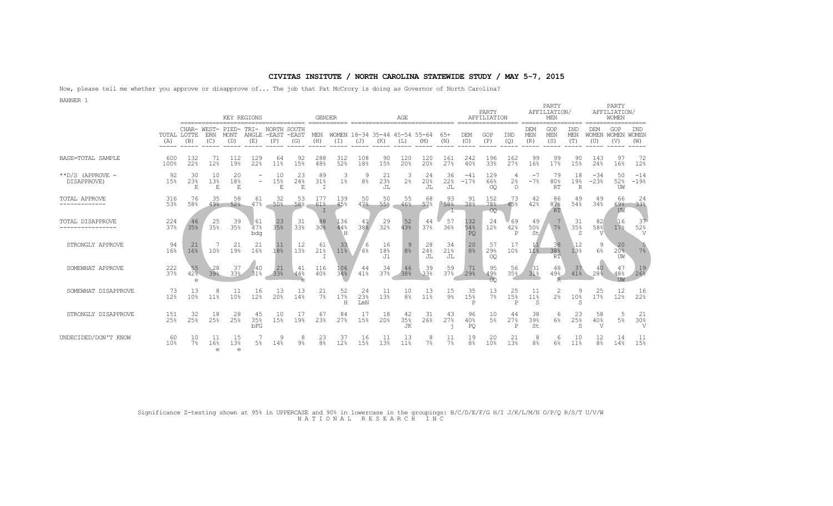Now, please tell me whether you approve or disapprove of... The job that Pat McCrory is doing as Governor of North Carolina? BANNER 1

|                                     |                    |                           |                               |                             | KEY REGIONS           |                             |                | <b>GENDER</b>        |                                   |                  |                                      | AGE                    |                  |                     |                      | PARTY<br>AFFILIATION      |                                 |                     | PARTY<br>AFFILIATION/<br>MEN |                        |                                 | PARTY<br>AFFILIATION/<br>WOMEN |                              |
|-------------------------------------|--------------------|---------------------------|-------------------------------|-----------------------------|-----------------------|-----------------------------|----------------|----------------------|-----------------------------------|------------------|--------------------------------------|------------------------|------------------|---------------------|----------------------|---------------------------|---------------------------------|---------------------|------------------------------|------------------------|---------------------------------|--------------------------------|------------------------------|
|                                     | TOTAL LOTTE<br>(A) | CHAR-<br>(B)              | WEST-<br>ERN<br>(C)           | PIED-<br><b>MONT</b><br>(D) | TRI-<br>ANGLE.<br>(E) | NORTH<br>-EAST -EAST<br>(F) | SOUTH<br>(G)   | MEN<br>(H)           | (I)                               | (J)              | WOMEN 18-34 35-44 45-54 55-64<br>(K) | (L)                    | (M)              | $65+$<br>(N)        | <b>DEM</b><br>(O)    | GOP<br>(P)                | IND<br>(Q)                      | DEM<br>MEN<br>(R)   | GOP<br>MEN<br>(S)            | IND<br>MEN<br>(T)      | DEM<br><b>WOMEN</b><br>(U)      | GOP<br>WOMEN WOMEN<br>(V)      | IND<br>(W)                   |
| BASE=TOTAL SAMPLE                   | 600<br>100%        | 132<br>22%                | 71<br>12%                     | 112<br>19%                  | 129<br>22%            | 64<br>11%                   | 92<br>15%      | 288<br>48%           | 312<br>52%                        | 108<br>18%       | 90<br>15%                            | 120<br>20 <sup>°</sup> | 120<br>20%       | 161<br>27%          | 242<br>40%           | 196<br>33%                | 162<br>27%                      | 99<br>16%           | 99<br>17%                    | 90<br>15%              | 143<br>24%                      | 97<br>16%                      | 72<br>12%                    |
| $*$ $D/S$ (APPROVE -<br>DISAPPROVE) | 92<br>15%          | 30<br>23%                 | 10<br>13%<br>Ε                | 20<br>18%<br>Е              |                       | 10<br>15%<br>Е              | 23<br>24%<br>Ε | -89<br>31%           | 3<br>1 <sup>°</sup>               | 8%               | 21<br>23%<br>JL                      | 3<br>2 <sup>°</sup>    | 24<br>20%<br>JL  | 36<br>22%<br>JL     | $-41$<br>$-17%$      | 129<br>66%<br>OO          | 4<br>2 <sup>°</sup><br>$\Omega$ | -7<br>$-7%$         | 79<br>80%<br><b>RT</b>       | 18<br>19%<br>R         | $-34$<br>$-23%$                 | 50<br>52%<br>UW                | $-14$<br>$-19%$              |
| <b>TOTAL APPROVE</b>                | 316<br>53%         | 76<br>58%                 | 35<br>49%                     | 58<br>52%                   | 61<br>47%             | 32<br>50%                   | 53<br>58%      | 177<br>61%           | 139<br>45%                        | 50<br>47%        | 50<br>55%                            | 55<br>46%              | 68<br>57%        | 93<br>58%           | -91<br>38%           | 152<br>78%<br>OQ.         | 73<br>45%                       | 42<br>42%           | 86<br>87%<br><b>RT</b>       | 49<br>54%              | -49<br>34%                      | 66<br>69%<br>UW                | 24<br>33%                    |
| TOTAL DISAPPROVE                    | $^{224}_{378}$     | 35%                       | 35%                           | $39$<br>35%                 | 61<br>47%<br>bda      | 35%                         | $33^2$         | 30%                  | $\frac{136}{448}$<br>$\mathbf{H}$ | $\frac{41}{388}$ | $^{29}_{32\%}$                       | $52$<br>43%            | $\frac{44}{37}$  | 57<br>36%           | 132<br>54%<br>PO     | 24<br>12%                 | 69<br>42%<br>P                  | 49<br>50%<br>St     | 7%                           | $31$<br>$35%$<br>S     | $82$<br>$58%$<br>$\overline{V}$ | 16<br>17%                      | -37<br>52%<br>$\overline{V}$ |
| STRONGLY APPROVE                    | $\frac{94}{168}$   | 16%                       | 10%                           | 21<br>19%                   | 21<br>16%             | $1^{11}_{8}$                | $12\n138$      | -61<br>21%           | $33$<br>$11%$                     | $6\%$            | $16\n18%$<br>J1                      | 8 <sup>8</sup>         | -28<br>24%<br>JL | $34$<br>$21%$<br>JL | $\frac{20}{8}$       | 57<br>29%<br>OO           | 17<br>10%                       | 11%                 | 38 <sup>38</sup><br>RT       | 12<br>$13\overline{8}$ | 6%                              | 20<br>20%<br>UW                | 7%                           |
| SOMEWHAT APPROVE                    | $^{222}_{378}$     | $55$<br>42%<br>$\epsilon$ | -28<br>39%                    | $37$<br>$33%$               | 40<br>31%             | 338                         | -41<br>44%     | $\frac{116}{40\%}$   | 106<br>34%                        | 44<br>41%        | 34<br>37%                            | 38%                    | 338              | $\frac{59}{37\%}$   | -71<br>29%           | $^{95}_{49\%}$<br>$\circ$ | 35%                             | $31$<br>31%         | 48<br>49%                    | 37<br>41%              | 40<br>28 <sup>8</sup>           | 47<br>48%<br><b>TM</b>         | $\frac{19}{26}$              |
| SOMEWHAT DISAPPROVE                 | 73<br>12%          | 13<br>10%                 | 8<br>11%                      | -11<br>10%                  | 16<br>12%             | 13<br>20%                   | 13<br>14%      | 21<br>$7\%$          | 52<br>17%<br>H                    | 24<br>23%<br>LmN | 11<br>13%                            | 10<br>8 <sup>°</sup>   | 13<br>11%        | 15<br>$9\%$         | $35$<br>$15%$<br>P   | $\frac{13}{7}$            | 25<br>15%<br>P                  | -11<br>11%<br>S     | 2<br>2 <sup>°</sup>          | 10%<br>S               | 25<br>17%                       | 12<br>12%                      | 16<br>22%                    |
| STRONGLY DISAPPROVE                 | 151<br>25%         | 32<br>25%                 | 18<br>25%                     | -28<br>25%                  | 45<br>35%<br>bFG      | 10<br>15%                   | 19%            | 67<br>23%            | 84<br>27%                         | 17<br>15%        | 18<br>20%                            | 42<br>35%<br>JK        | 31<br>26%        | 43<br>27%           | 96<br>40%<br>PO      | 10<br>5%                  | 44<br>27%<br>P                  | 38<br>39%<br>St     | -6<br>6%                     | 23<br>25%              | -58<br>40%<br>V                 | 5<br>$5\%$                     | 21<br>30%<br>V               |
| UNDECIDED/DON'T KNOW                | 60<br>10%          | 10<br>7%                  | 11<br>16%<br>$\triangleright$ | 15<br>13%<br>$\Rightarrow$  | .5%                   | 14%                         | 8<br>$9\%$     | 23<br>8 <sup>°</sup> | 37<br>12%                         | 16<br>15%        | 13%                                  | 13<br>11 <sup>8</sup>  | 8<br>7%          | 7%                  | 19<br>8 <sup>°</sup> | 20<br>10%                 | 21<br>13%                       | 8<br>8 <sup>°</sup> | -6<br>6%                     | 10<br>11%              | 12<br>8 <sup>°</sup>            | 14<br>14%                      | 11<br>15%                    |

Significance Z-testing shown at 95% in UPPERCASE and 90% in lowercase in the groupings: B/C/D/E/F/G H/I J/K/L/M/N O/P/Q R/S/T U/V/W N A T I O N A L R E S E A R C H I N C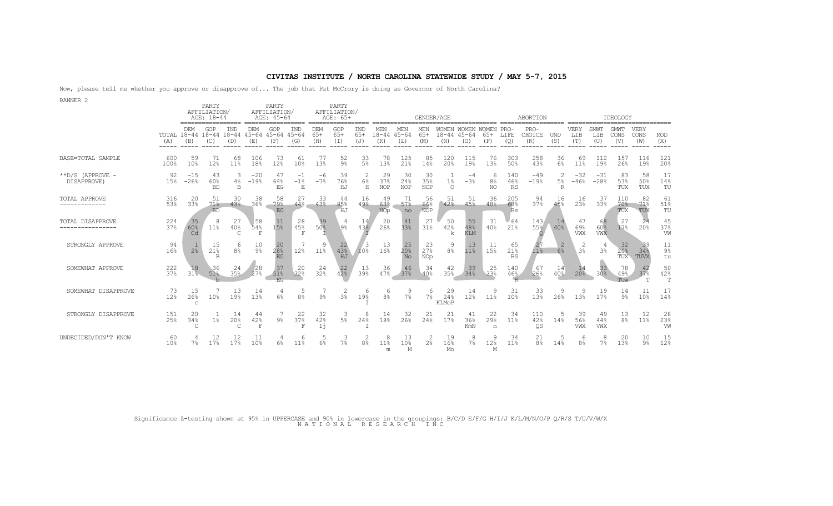Now, please tell me whether you approve or disapprove of... The job that Pat McCrory is doing as Governor of North Carolina?

| <b>BANNER 2</b>                          |                    |                 | PARTY                             |                         |                         | PARTY                      |                               |                     | PARTY                    |                     |                         |                                        |                         |                           |                                      |                           |                       |                         |                                        |                     |                     |                      |                     |                           |
|------------------------------------------|--------------------|-----------------|-----------------------------------|-------------------------|-------------------------|----------------------------|-------------------------------|---------------------|--------------------------|---------------------|-------------------------|----------------------------------------|-------------------------|---------------------------|--------------------------------------|---------------------------|-----------------------|-------------------------|----------------------------------------|---------------------|---------------------|----------------------|---------------------|---------------------------|
|                                          |                    |                 | AFFILIATION/<br>AGE: 18-44        |                         |                         | AFFILIATION/<br>AGE: 45-64 |                               |                     | AFFILIATION/<br>AGE: 65+ |                     |                         |                                        | GENDER/AGE              |                           |                                      |                           |                       | ABORTION                |                                        |                     |                     | IDEOLOGY             |                     |                           |
|                                          | TOTAL 18-44<br>(A) | DEM<br>(B)      | GOP<br>$18 - 44$ $18 - 44$<br>(C) | IND<br>(D)              | DEM<br>$45 - 64$<br>(E) | GOP<br>45-64<br>(F)        | IND<br>$45 - 64$<br>(G)       | DEM<br>$65+$<br>(H) | GOP<br>$65+$<br>(I)      | IND<br>$65+$<br>(J) | MEN<br>$18 - 44$<br>(K) | MEN<br>$45 - 64$<br>(L)                | MEN<br>$65+$<br>(M)     | WOMEN<br>$18 - 44$<br>(N) | WOMEN WOMEN PRO-<br>$45 - 64$<br>(O) | $65+$<br>(P)              | LIFE<br>(Q)           | $PRO-$<br>CHOICE<br>(R) | <b>UND</b><br>(S)                      | VERY<br>LIB<br>(T   | SMWT<br>LIB<br>(U)  | SMWT<br>CONS<br>(V)  | VERY<br>CONS<br>(W) | MOD<br>(X)                |
| BASE=TOTAL SAMPLE                        | -600<br>100%       | 59<br>10%       | 71<br>12%                         | 68<br>11 <sup>8</sup>   | 106<br>18%              | 73<br>12%                  | 61<br>10%                     | 77<br>13%           | 52<br>$9\%$              | 33<br>5%            | 78<br>13%               | 125<br>21%                             | 85<br>14%               | 120<br>20%                | 115<br>19%                           | 76<br>13%                 | 303<br>50%            | 258<br>43%              | 36<br>6%                               | 69<br>11%           | 112<br>19%          | 157<br>26%           | 116<br>19%          | 121<br>20%                |
| $*$ $D/S$ (APPROVE -<br>DISAPPROVE)      | 92<br>15%          | $-15$<br>$-26%$ | 43<br>60%<br><b>BD</b>            | 3<br>4%<br>B            | $-20$<br>$-19%$         | 47<br>64%<br>EG            | $-1$<br>$-1$ %<br>$\mathbf E$ | -6<br>$-7%$         | 39<br>76%<br>HJ          | 2<br>6%<br>H        | 29<br>37%<br><b>NOP</b> | 30<br>24%<br><b>NOP</b>                | 30<br>35%<br><b>NOP</b> | $1\%$<br>$\Omega$         | $-4$<br>$-3%$                        | 6<br>8 <sup>°</sup><br>NO | 140<br>46%<br>RS      | $-49$<br>$-19%$         | $\mathcal{L}$<br>$5\%$<br>$\mathbb{R}$ | $-32$<br>$-46%$     | $-31$<br>$-28%$     | 83<br>53%<br>TUX     | 58<br>50%<br>TUX    | 17<br>14%<br>TU           |
| TOTAL APPROVE<br>. _ _ _ _ _ _ _ _ _ _ _ | 316<br>53%         | 20<br>33%       | 51<br>71%<br><b>BD</b>            | 30<br>43%               | 38<br>36%               | 58<br>79%<br>EG            | 27<br>44%                     | 33<br>43%           | 44<br>85%<br>HJ          | 16<br>49.8          | 49<br>63%<br>NOp        | 71<br>57%<br>no                        | 56<br>66%<br><b>NOP</b> | 51<br>42%                 | -51<br>45%                           | 36<br>48%                 | 205<br>68%<br>Rs      | 94<br>37%               | 16<br>45%                              | 16<br>23%           | -37<br>33%          | 110<br>70%<br>TUX    | 82<br>71%<br>TUX    | 61<br>51%<br>TU           |
| TOTAL DISAPPROVE                         | $^{224}_{37\%}$    | 35<br>60%<br>Cd | 8<br>11%                          | 27<br>40%<br>C          | 58<br>54%<br>F          | 11<br>15%                  | 28<br>45%<br>F                | $39$<br>$50%$       | 4<br>\9%                 | 14<br>43%           | 20<br>26%               | 41<br>33%                              | 27<br>31%               | 50<br>42%<br>k            | $\frac{55}{48}$<br><b>KLM</b>        | -31<br>40%                | 64<br>21%             | 143<br>55%              | 40%                                    | 47<br>69%<br>VWX    | 68<br>60%<br>VWX    | 27<br>17%            | 24<br>20%           | 45<br>37%<br>VW           |
| STRONGLY APPROVE                         | 94<br>16%          | 2 <sup>°</sup>  | 15<br>21%<br>B                    | 6<br>8 <sup>°</sup>     | 10<br>$9\%$             | $28$<br>$28$<br>$EG$       | 12%                           | 11 <sup>9</sup>     | $^{22}_{43\%}$<br>HJ     | $10^{3}$            | $13\n16%$               | $25$<br>$20$ <sup>§</sup><br><b>No</b> | $2^{23}_{27}$<br>NOp    | 9<br>8 <sup>°</sup>       | 13<br>$11\%$                         | 11<br>15%                 | 65<br>21%<br>RS       | 118                     | -2<br>6%                               | 2<br>3 <sup>°</sup> | 4<br>3 <sup>°</sup> | $32$<br>$20%$<br>TUX | -39<br>34%<br>TUVX  | 11<br>$9\%$<br>tu         |
| SOMEWHAT APPROVE                         | 222<br>37%         | 18<br>31%       | 36<br>51%                         | 24<br>35%               | 28<br>27%               | $37$<br>$51%$              | 20<br>32%                     | 24<br>32%           | $^{22}_{42}$             | 13<br>39%           | 36<br>47%               | 46<br>37%                              | 34<br>40%               | 42<br>35%                 | $39$<br>$34%$                        | 25<br>33%                 | 140<br>46%            | 67<br>26%               | 14<br>40%                              | 20%                 | 33<br>30%           | 78<br>49%<br>TUW     | 42<br>37%<br>T      | 50<br>42%<br>$\mathbb{T}$ |
| SOMEWHAT DISAPPROVE                      | 73<br>12%          | 15<br>26%       | 10%                               | 13<br>19%               | 14<br>13%               | 6%                         | 8 <sup>°</sup>                | 9 <sub>8</sub>      | 2<br>3 <sup>°</sup>      | 6<br>19%            | 6<br>8 <sup>°</sup>     | $7\%$                                  | 6<br>7%                 | 29<br>24%<br>KLMoP        | 14<br>12%                            | 9<br>11%                  | 31<br>10 <sup>°</sup> | $33$<br>$13%$           | 26%                                    | 9<br>13%            | 19<br>17%           | 14<br>$9\%$          | 11<br>10%           | 17<br>14%                 |
| STRONGLY DISAPPROVE                      | 151<br>25%         | 20<br>34%       | $1\%$                             | -14<br>20%<br>$\subset$ | 44<br>42%<br>F          | $9\%$                      | 22<br>37%                     | 32<br>42%<br>Ιj     | 3<br>5 <sup>°</sup>      | 8<br>24%            | 14<br>18%               | -32<br>26%                             | 21<br>24%               | 21<br>17%                 | 41<br>36%<br>KmN                     | 22<br>29%<br>n            | -34<br>11%            | 110<br>42%<br>QS        | 14%                                    | 39<br>56%<br>VWX    | 49<br>44%<br>VWX    | $\frac{13}{8}$       | 12<br>11%           | $28$<br>$23%$<br>VW       |
| UNDECIDED/DON'T KNOW                     | 60<br>10%          | 7%              | 12<br>17%                         | 17%                     | 10%                     | 6%                         | 11 <sup>°</sup>               | 5<br>6%             | 3<br>7 <sup>°</sup>      | 8 <sup>°</sup>      | 8<br>11%<br>m           | 13<br>10%<br>М                         | 2<br>2 <sup>°</sup>     | 19<br>16%<br>Mo           | 8<br>7%                              | 9<br>12%<br>M             | -34<br>11%            | 21<br>8 <sup>°</sup>    | 14%                                    | 6<br>8 <sup>°</sup> | 8<br>$7\%$          | 20<br>13%            | 10<br>$9\%$         | 15<br>12%                 |

Significance Z-testing shown at 95% in UPPERCASE and 90% in lowercase in the groupings: B/C/D E/F/G H/I/J K/L/M/N/O/P Q/R/S T/U/V/W/X N A T I O N A L R E S E A R C H I N C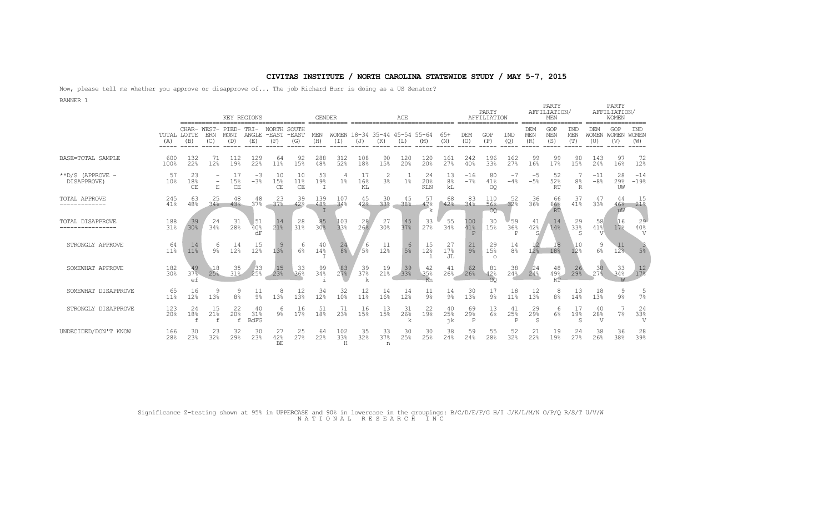Now, please tell me whether you approve or disapprove of... The job Richard Burr is doing as a US Senator?

BANNER 1

|                                     |                       |                           |                                         |                                 | KEY REGIONS              |                          |                          | <b>GENDER</b>       |                       |                     |                                  | AGE                    |                         |                            |                            | PARTY<br>AFFILIATION             |                      |                           | PARTY<br>AFFILIATION/<br>MEN |                                    |                             | PARTY<br>AFFILIATION/<br>WOMEN |                             |
|-------------------------------------|-----------------------|---------------------------|-----------------------------------------|---------------------------------|--------------------------|--------------------------|--------------------------|---------------------|-----------------------|---------------------|----------------------------------|------------------------|-------------------------|----------------------------|----------------------------|----------------------------------|----------------------|---------------------------|------------------------------|------------------------------------|-----------------------------|--------------------------------|-----------------------------|
|                                     | (A)<br>----           | TOTAL LOTTE<br>(B)        | CHAR- WEST-<br><b>ERN</b><br>(C)        | PIED-TRI-<br><b>MONT</b><br>(D) | ANGLE<br>(E)             | NORTH<br>$-$ FAST<br>(F) | SOUTH<br>$-$ EAST<br>(G) | MEN<br>(H)          | <b>WOMEN</b><br>(I)   | (J)                 | 18-34 35-44<br>(K)               | $45 - 54$ 55-64<br>(L) | (M)                     | $65+$<br>(N)               | <b>DEM</b><br>(O)          | GOP<br>(P)                       | IND<br>(Q)           | DEM<br>MEN<br>(R)         | GOP<br>MEN<br>(S)            | IND<br>MEN<br>(T)                  | DEM<br><b>WOMEN</b><br>(U)  | GOP<br>WOMEN<br>(V)            | IND<br><b>WOMEN</b><br>(W)  |
| BASE=TOTAL SAMPLE                   | 600<br>100%           | 132<br>22%                | 71<br>12%                               | 112<br>19%                      | 129<br>22%               | 64<br>11%                | 92<br>15%                | 288<br>48%          | 312<br>52%            | 108<br>18%          | 90<br>15%                        | 120<br>20 <sup>°</sup> | 120<br>20 <sup>°</sup>  | 161<br>27%                 | 242<br>40%                 | 196<br>33%                       | 162<br>27%           | 99<br>16%                 | 99<br>17%                    | 90<br>15%                          | 143<br>24%                  | 97<br>16%                      | 72<br>12%                   |
| $*$ $D/S$ (APPROVE -<br>DISAPPROVE) | 57<br>10%             | 23<br>18%<br><b>CE</b>    | $\overline{\phantom{a}}$<br>$\mathbf E$ | 17<br>15%<br>CE                 | $-3$<br>$-3%$            | 10<br>15%<br>CE          | 10<br>11%<br>CE          | 53<br>19%<br>$\top$ | 4<br>$1\%$            | 17<br>16%<br>KL     | $\overline{2}$<br>3 <sup>°</sup> | 1 <sup>°</sup>         | 24<br>20%<br><b>KLN</b> | 13<br>8 <sup>°</sup><br>kL | $-16$<br>$-7%$             | 80<br>41%<br>OQ                  | $-7$<br>$-4%$        | -5<br>$-5%$               | 52<br>52%<br>RT              | 8 <sup>°</sup><br>$\mathbb R$      | $-11$<br>$-8%$              | 28<br>29%<br>UW                | $-14$<br>$-19%$             |
| TOTAL APPROVE<br>-------------      | 245<br>41%            | 63<br>48%                 | 25<br>34%                               | 48<br>43%                       | 48<br>37%                | 23<br>37 <sup>°</sup>    | -39<br>42%               | 139<br>48%          | 107<br>34%            | 45<br>42%           | 30<br>33%                        | 45<br>38%              | 57<br>47%<br>k.         | 68<br>42%                  | 83<br>34%                  | 110<br>56%<br>OQ.                | 52<br>32%            | 36 <sup>36</sup>          | 66<br>66%<br>RT              | 37<br>41%                          | 47<br>33%                   | 44<br>46%<br>uW                | 15<br>21%                   |
| TOTAL DISAPPROVE                    | 188<br>31%            | $39$<br>$30%$             | 24<br>34%                               | 31<br>28%                       | 51<br>40%<br>dF          | $14$<br>$21%$            | 318                      | 85<br>30%           | $\frac{103}{338}$     | 26%                 | 27<br>30 <sup>°</sup>            | 45<br>37%              | 33<br>27%               | 55<br>34%                  | 100<br>41%<br>$\mathbb{P}$ | 30<br>15%                        | 59<br>36%<br>P       | 41<br>42%<br>S            | 14<br>14%                    | 29<br>$33\overline{\text{e}}$<br>S | 58<br>41%<br>$\overline{V}$ | 16<br>17%                      | 29<br>40%<br>$\overline{V}$ |
| STRONGLY APPROVE                    | 64<br>11%             | 14<br>11%                 | 6<br>9%                                 | 14<br>12%                       | 15<br>12%                | 9<br>13%                 | 6<br>$6\%$               | 40<br>14%           | 24<br>8 <sup>8</sup>  | 6<br>5 <sup>°</sup> | 11<br>12%                        | -6<br>5 <sup>8</sup>   | 15<br>12%               | 27<br>17%<br>JL            | 21<br>9 <sup>°</sup>       | 29<br>15 <sup>8</sup><br>$\circ$ | 14<br>8 <sup>°</sup> | 12 <sup>8</sup>           | 18<br>18%                    | 10<br>12%                          | 9<br>$6\%$                  | 11<br>12%                      | 5%                          |
| SOMEWHAT APPROVE                    | 182<br>30%            | 49<br>37%<br>ef           | 18<br>25%                               | 35<br>31%                       | 33<br>25%                | $\frac{15}{238}$         | $33$<br>36%              | 99<br>34%           | $2^{83}_{78}$         | 39<br>37%<br>k      | 19<br>21%                        | $39$<br>$33$           | 42<br>35%<br>Kn         | 41<br>26%                  | 62<br>26%                  | 81<br>42%<br>$\circ$             | 38<br>24%            | -24<br>24%                | 48<br>49%<br>$R\bar{T}$      | 26<br>29%                          | 38<br>27%                   | 33<br>34%                      | $1^{12}_{78}$               |
| SOMEWHAT DISAPPROVE                 | 65<br>11 <sup>°</sup> | 16<br>12%                 | 9<br>13%                                | 9<br>8 <sup>°</sup>             | 11<br>9 <sup>°</sup>     | 8<br>13%                 | 12<br>1.3%               | 34<br>12%           | 32<br>10 <sup>°</sup> | 12<br>11%           | 14<br>16%                        | 14<br>12%              | 11<br>$9\%$             | 14<br>$9\%$                | 30<br>13%                  | 17<br>9 <sub>8</sub>             | 18<br>11%            | 12<br>13%                 | 8<br>8 <sup>°</sup>          | 13<br>14%                          | 18<br>13%                   | 9<br>$9\%$                     | 7%                          |
| STRONGLY DISAPPROVE                 | 123<br>20%            | 24<br>18%<br>$\mathsf{f}$ | 15<br>21%<br>$\mathsf{f}$               | 22<br>20%<br>$\mathsf{f}$       | 40<br>31%<br><b>BdFG</b> | 6<br>$9\%$               | 16<br>17%                | 51<br>18%           | 71<br>23%             | 16<br>15%           | 13<br>15%                        | 31<br>26%<br>k         | 22<br>19%               | 40<br>25%<br>ήk            | 69<br>29%<br>P             | 13<br>6 <sup>°</sup>             | 41<br>25%<br>P       | 29<br>29%<br><sub>S</sub> | 6<br>6%                      | 17<br>19%<br>S                     | 40<br>28%<br>V.             | 7%                             | 24<br>33%<br>N7             |
| UNDECIDED/DON'T KNOW                | 166<br>28%            | 30<br>23%                 | 23<br>32%                               | 32<br>29%                       | 30<br>23%                | 27<br>42%<br>BE          | 25<br>27%                | 64<br>22%           | 102<br>33%<br>H       | 35<br>32%           | 33<br>37%<br>n                   | 30<br>25%              | 30<br>25%               | 38<br>24%                  | 59<br>24%                  | 55<br>28%                        | 52<br>32%            | 21<br>22%                 | 19<br>19%                    | 24<br>27%                          | 38<br>26%                   | 36<br>38%                      | 28<br>39%                   |

Significance Z-testing shown at 95% in UPPERCASE and 90% in lowercase in the groupings: B/C/D/E/F/G H/I J/K/L/M/N O/P/Q R/S/T U/V/W N A T I O N A L R E S E A R C H I N C